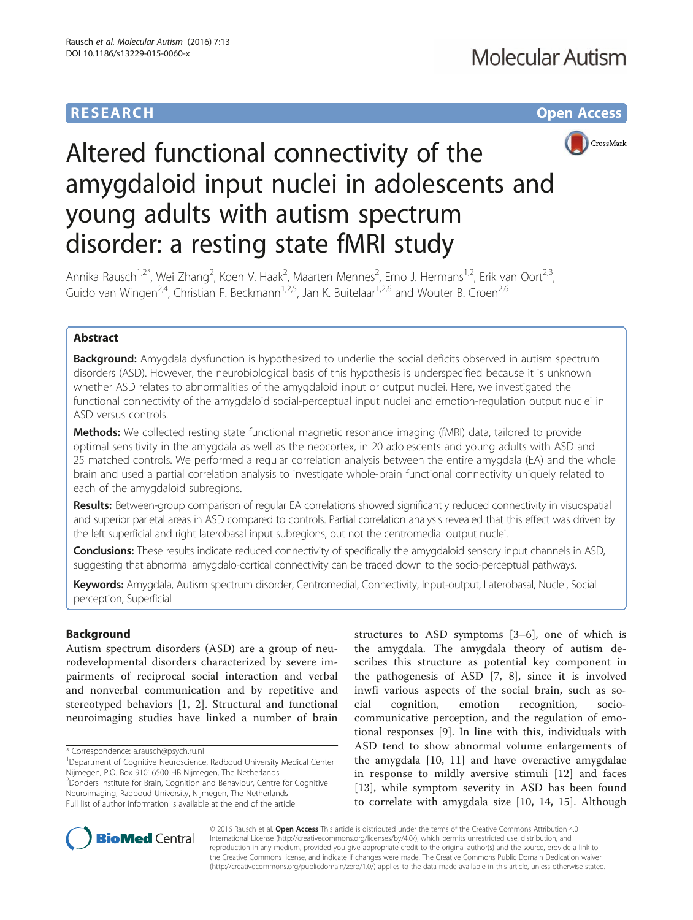# **RESEARCH CHE Open Access**



# Altered functional connectivity of the amygdaloid input nuclei in adolescents and young adults with autism spectrum disorder: a resting state fMRI study

Annika Rausch<sup>1,2\*</sup>, Wei Zhang<sup>2</sup>, Koen V. Haak<sup>2</sup>, Maarten Mennes<sup>2</sup>, Erno J. Hermans<sup>1,2</sup>, Erik van Oort<sup>2,3</sup>, Guido van Wingen<sup>2,4</sup>, Christian F. Beckmann<sup>1,2,5</sup>, Jan K. Buitelaar<sup>1,2,6</sup> and Wouter B. Groen<sup>2,6</sup>

# Abstract

**Background:** Amygdala dysfunction is hypothesized to underlie the social deficits observed in autism spectrum disorders (ASD). However, the neurobiological basis of this hypothesis is underspecified because it is unknown whether ASD relates to abnormalities of the amygdaloid input or output nuclei. Here, we investigated the functional connectivity of the amygdaloid social-perceptual input nuclei and emotion-regulation output nuclei in ASD versus controls.

Methods: We collected resting state functional magnetic resonance imaging (fMRI) data, tailored to provide optimal sensitivity in the amygdala as well as the neocortex, in 20 adolescents and young adults with ASD and 25 matched controls. We performed a regular correlation analysis between the entire amygdala (EA) and the whole brain and used a partial correlation analysis to investigate whole-brain functional connectivity uniquely related to each of the amygdaloid subregions.

Results: Between-group comparison of regular EA correlations showed significantly reduced connectivity in visuospatial and superior parietal areas in ASD compared to controls. Partial correlation analysis revealed that this effect was driven by the left superficial and right laterobasal input subregions, but not the centromedial output nuclei.

Conclusions: These results indicate reduced connectivity of specifically the amygdaloid sensory input channels in ASD, suggesting that abnormal amygdalo-cortical connectivity can be traced down to the socio-perceptual pathways.

Keywords: Amygdala, Autism spectrum disorder, Centromedial, Connectivity, Input-output, Laterobasal, Nuclei, Social perception, Superficial

# Background

Autism spectrum disorders (ASD) are a group of neurodevelopmental disorders characterized by severe impairments of reciprocal social interaction and verbal and nonverbal communication and by repetitive and stereotyped behaviors [\[1](#page-11-0), [2\]](#page-11-0). Structural and functional neuroimaging studies have linked a number of brain

<sup>1</sup>Department of Cognitive Neuroscience, Radboud University Medical Center Nijmegen, P.O. Box 91016500 HB Nijmegen, The Netherlands <sup>2</sup> Donders Institute for Brain, Cognition and Behaviour, Centre for Cognitive

Neuroimaging, Radboud University, Nijmegen, The Netherlands Full list of author information is available at the end of the article structures to ASD symptoms [\[3](#page-11-0)–[6](#page-11-0)], one of which is the amygdala. The amygdala theory of autism describes this structure as potential key component in the pathogenesis of ASD [[7, 8](#page-11-0)], since it is involved inwfi various aspects of the social brain, such as social cognition, emotion recognition, sociocommunicative perception, and the regulation of emotional responses [\[9](#page-11-0)]. In line with this, individuals with ASD tend to show abnormal volume enlargements of the amygdala [[10, 11\]](#page-11-0) and have overactive amygdalae in response to mildly aversive stimuli [[12\]](#page-11-0) and faces [[13\]](#page-11-0), while symptom severity in ASD has been found to correlate with amygdala size [[10, 14](#page-11-0), [15\]](#page-11-0). Although



© 2016 Rausch et al. Open Access This article is distributed under the terms of the Creative Commons Attribution 4.0 International License [\(http://creativecommons.org/licenses/by/4.0/](http://creativecommons.org/licenses/by/4.0/)), which permits unrestricted use, distribution, and reproduction in any medium, provided you give appropriate credit to the original author(s) and the source, provide a link to the Creative Commons license, and indicate if changes were made. The Creative Commons Public Domain Dedication waiver [\(http://creativecommons.org/publicdomain/zero/1.0/](http://creativecommons.org/publicdomain/zero/1.0/)) applies to the data made available in this article, unless otherwise stated.

<sup>\*</sup> Correspondence: [a.rausch@psych.ru.nl](mailto:a.rausch@psych.ru.nl) <sup>1</sup>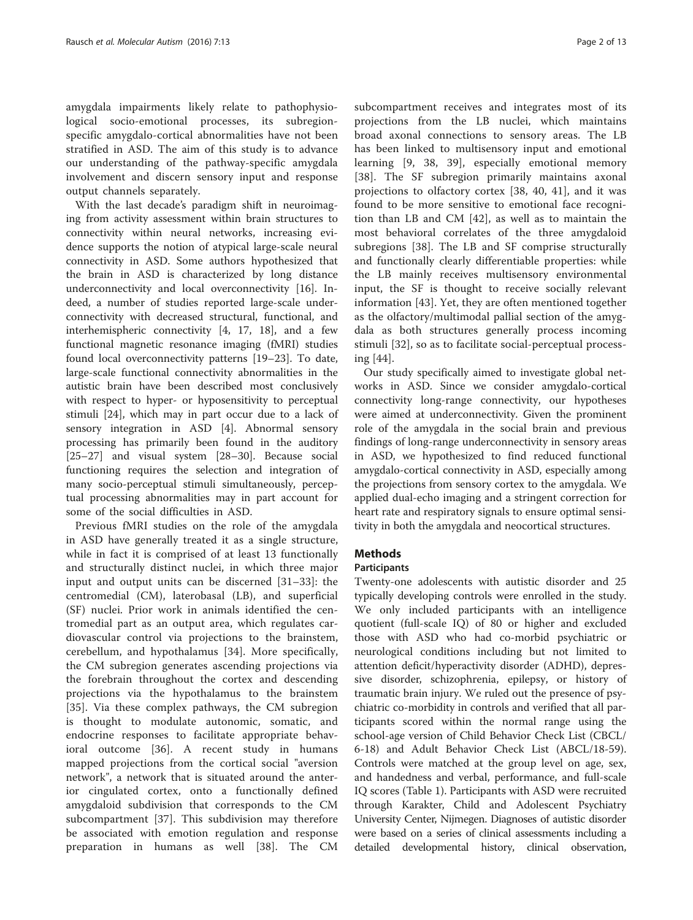amygdala impairments likely relate to pathophysiological socio-emotional processes, its subregionspecific amygdalo-cortical abnormalities have not been stratified in ASD. The aim of this study is to advance our understanding of the pathway-specific amygdala involvement and discern sensory input and response output channels separately.

With the last decade's paradigm shift in neuroimaging from activity assessment within brain structures to connectivity within neural networks, increasing evidence supports the notion of atypical large-scale neural connectivity in ASD. Some authors hypothesized that the brain in ASD is characterized by long distance underconnectivity and local overconnectivity [\[16](#page-11-0)]. Indeed, a number of studies reported large-scale underconnectivity with decreased structural, functional, and interhemispheric connectivity [\[4](#page-11-0), [17](#page-11-0), [18\]](#page-11-0), and a few functional magnetic resonance imaging (fMRI) studies found local overconnectivity patterns [\[19](#page-11-0)–[23\]](#page-11-0). To date, large-scale functional connectivity abnormalities in the autistic brain have been described most conclusively with respect to hyper- or hyposensitivity to perceptual stimuli [\[24](#page-11-0)], which may in part occur due to a lack of sensory integration in ASD [[4\]](#page-11-0). Abnormal sensory processing has primarily been found in the auditory [[25](#page-11-0)–[27](#page-11-0)] and visual system [[28](#page-11-0)–[30](#page-11-0)]. Because social functioning requires the selection and integration of many socio-perceptual stimuli simultaneously, perceptual processing abnormalities may in part account for some of the social difficulties in ASD.

Previous fMRI studies on the role of the amygdala in ASD have generally treated it as a single structure, while in fact it is comprised of at least 13 functionally and structurally distinct nuclei, in which three major input and output units can be discerned [\[31](#page-11-0)–[33](#page-11-0)]: the centromedial (CM), laterobasal (LB), and superficial (SF) nuclei. Prior work in animals identified the centromedial part as an output area, which regulates cardiovascular control via projections to the brainstem, cerebellum, and hypothalamus [[34\]](#page-11-0). More specifically, the CM subregion generates ascending projections via the forebrain throughout the cortex and descending projections via the hypothalamus to the brainstem [[35\]](#page-11-0). Via these complex pathways, the CM subregion is thought to modulate autonomic, somatic, and endocrine responses to facilitate appropriate behavioral outcome [\[36](#page-11-0)]. A recent study in humans mapped projections from the cortical social "aversion network", a network that is situated around the anterior cingulated cortex, onto a functionally defined amygdaloid subdivision that corresponds to the CM subcompartment [[37\]](#page-11-0). This subdivision may therefore be associated with emotion regulation and response preparation in humans as well [\[38](#page-11-0)]. The CM

subcompartment receives and integrates most of its projections from the LB nuclei, which maintains broad axonal connections to sensory areas. The LB has been linked to multisensory input and emotional learning [[9, 38](#page-11-0), [39](#page-11-0)], especially emotional memory [[38\]](#page-11-0). The SF subregion primarily maintains axonal projections to olfactory cortex [[38, 40, 41](#page-11-0)], and it was found to be more sensitive to emotional face recognition than LB and CM [[42\]](#page--1-0), as well as to maintain the most behavioral correlates of the three amygdaloid subregions [\[38](#page-11-0)]. The LB and SF comprise structurally and functionally clearly differentiable properties: while the LB mainly receives multisensory environmental input, the SF is thought to receive socially relevant information [[43](#page--1-0)]. Yet, they are often mentioned together as the olfactory/multimodal pallial section of the amygdala as both structures generally process incoming stimuli [[32\]](#page-11-0), so as to facilitate social-perceptual processing [[44\]](#page--1-0).

Our study specifically aimed to investigate global networks in ASD. Since we consider amygdalo-cortical connectivity long-range connectivity, our hypotheses were aimed at underconnectivity. Given the prominent role of the amygdala in the social brain and previous findings of long-range underconnectivity in sensory areas in ASD, we hypothesized to find reduced functional amygdalo-cortical connectivity in ASD, especially among the projections from sensory cortex to the amygdala. We applied dual-echo imaging and a stringent correction for heart rate and respiratory signals to ensure optimal sensitivity in both the amygdala and neocortical structures.

# Methods

# **Participants**

Twenty-one adolescents with autistic disorder and 25 typically developing controls were enrolled in the study. We only included participants with an intelligence quotient (full-scale IQ) of 80 or higher and excluded those with ASD who had co-morbid psychiatric or neurological conditions including but not limited to attention deficit/hyperactivity disorder (ADHD), depressive disorder, schizophrenia, epilepsy, or history of traumatic brain injury. We ruled out the presence of psychiatric co-morbidity in controls and verified that all participants scored within the normal range using the school-age version of Child Behavior Check List (CBCL/ 6-18) and Adult Behavior Check List (ABCL/18-59). Controls were matched at the group level on age, sex, and handedness and verbal, performance, and full-scale IQ scores (Table [1\)](#page-2-0). Participants with ASD were recruited through Karakter, Child and Adolescent Psychiatry University Center, Nijmegen. Diagnoses of autistic disorder were based on a series of clinical assessments including a detailed developmental history, clinical observation,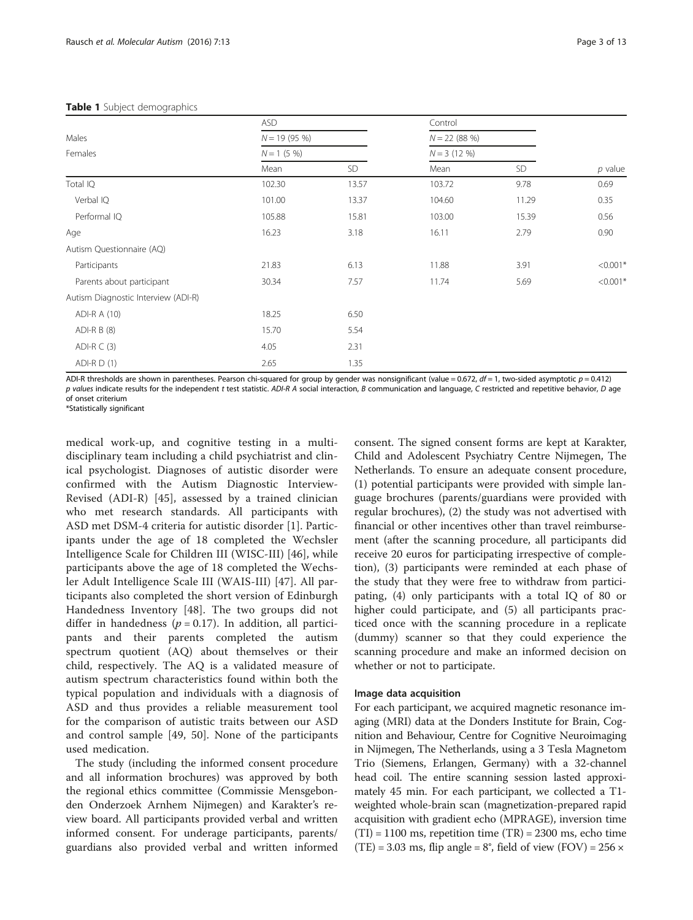<span id="page-2-0"></span>

| Males<br>Females                    | <b>ASD</b>    |               | Control |                               |            |
|-------------------------------------|---------------|---------------|---------|-------------------------------|------------|
|                                     | $N = 19(95%)$ | $N = 1$ (5 %) |         | $N = 22(88%)$<br>$N = 3(12%)$ |            |
|                                     |               |               |         |                               |            |
|                                     | Mean          | SD            | Mean    | SD                            | $p$ value  |
| Total IQ                            | 102.30        | 13.57         | 103.72  | 9.78                          | 0.69       |
| Verbal IQ                           | 101.00        | 13.37         | 104.60  | 11.29                         | 0.35       |
| Performal IQ                        | 105.88        | 15.81         | 103.00  | 15.39                         | 0.56       |
| Age                                 | 16.23         | 3.18          | 16.11   | 2.79                          | 0.90       |
| Autism Questionnaire (AQ)           |               |               |         |                               |            |
| Participants                        | 21.83         | 6.13          | 11.88   | 3.91                          | $< 0.001*$ |
| Parents about participant           | 30.34         | 7.57          | 11.74   | 5.69                          | $< 0.001*$ |
| Autism Diagnostic Interview (ADI-R) |               |               |         |                               |            |
| ADI-R A (10)                        | 18.25         | 6.50          |         |                               |            |
| ADI-R B (8)                         | 15.70         | 5.54          |         |                               |            |
| $ADI-R C (3)$                       | 4.05          | 2.31          |         |                               |            |
| ADI-R $D(1)$                        | 2.65          | 1.35          |         |                               |            |

ADI-R thresholds are shown in parentheses. Pearson chi-squared for group by gender was nonsignificant (value = 0.672,  $df = 1$ , two-sided asymptotic  $p = 0.412$ ) p values indicate results for the independent t test statistic. ADI-R A social interaction, B communication and language, C restricted and repetitive behavior, D age of onset criterium

\*Statistically significant

medical work-up, and cognitive testing in a multidisciplinary team including a child psychiatrist and clinical psychologist. Diagnoses of autistic disorder were confirmed with the Autism Diagnostic Interview-Revised (ADI-R) [[45\]](#page--1-0), assessed by a trained clinician who met research standards. All participants with ASD met DSM-4 criteria for autistic disorder [[1\]](#page-11-0). Participants under the age of 18 completed the Wechsler Intelligence Scale for Children III (WISC-III) [\[46](#page--1-0)], while participants above the age of 18 completed the Wechsler Adult Intelligence Scale III (WAIS-III) [\[47](#page--1-0)]. All participants also completed the short version of Edinburgh Handedness Inventory [\[48](#page--1-0)]. The two groups did not differ in handedness ( $p = 0.17$ ). In addition, all participants and their parents completed the autism spectrum quotient (AQ) about themselves or their child, respectively. The AQ is a validated measure of autism spectrum characteristics found within both the typical population and individuals with a diagnosis of ASD and thus provides a reliable measurement tool for the comparison of autistic traits between our ASD and control sample [[49, 50](#page--1-0)]. None of the participants used medication.

The study (including the informed consent procedure and all information brochures) was approved by both the regional ethics committee (Commissie Mensgebonden Onderzoek Arnhem Nijmegen) and Karakter's review board. All participants provided verbal and written informed consent. For underage participants, parents/ guardians also provided verbal and written informed consent. The signed consent forms are kept at Karakter, Child and Adolescent Psychiatry Centre Nijmegen, The Netherlands. To ensure an adequate consent procedure, (1) potential participants were provided with simple language brochures (parents/guardians were provided with regular brochures), (2) the study was not advertised with financial or other incentives other than travel reimbursement (after the scanning procedure, all participants did receive 20 euros for participating irrespective of completion), (3) participants were reminded at each phase of the study that they were free to withdraw from participating, (4) only participants with a total IQ of 80 or higher could participate, and (5) all participants practiced once with the scanning procedure in a replicate (dummy) scanner so that they could experience the scanning procedure and make an informed decision on whether or not to participate.

#### Image data acquisition

For each participant, we acquired magnetic resonance imaging (MRI) data at the Donders Institute for Brain, Cognition and Behaviour, Centre for Cognitive Neuroimaging in Nijmegen, The Netherlands, using a 3 Tesla Magnetom Trio (Siemens, Erlangen, Germany) with a 32-channel head coil. The entire scanning session lasted approximately 45 min. For each participant, we collected a T1 weighted whole-brain scan (magnetization-prepared rapid acquisition with gradient echo (MPRAGE), inversion time  $(TI) = 1100$  ms, repetition time  $(TR) = 2300$  ms, echo time  $(TE) = 3.03$  ms, flip angle = 8°, field of view  $(FOV) = 256 \times$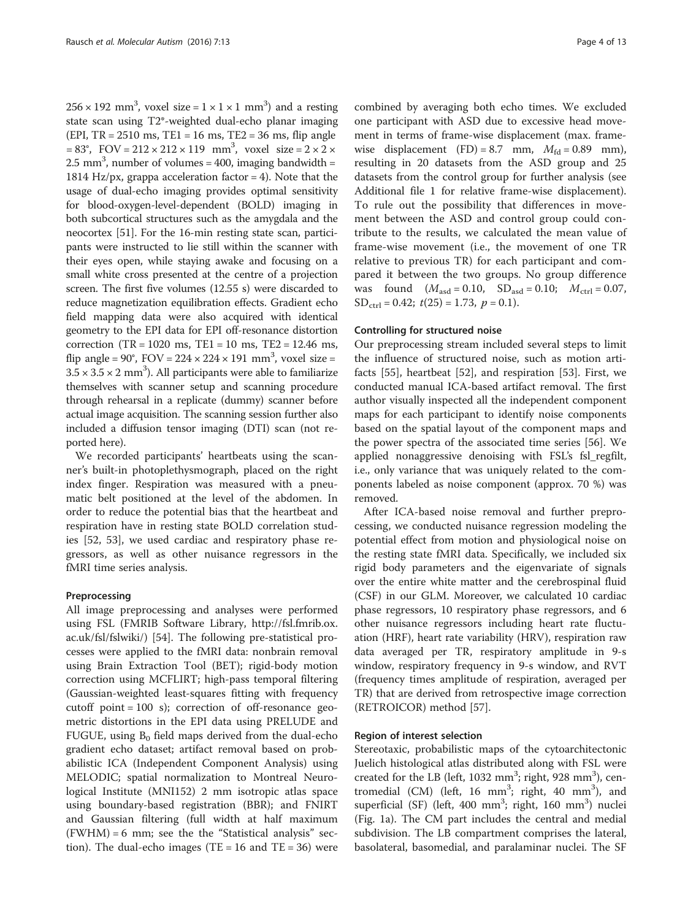$256 \times 192$  mm<sup>3</sup>, voxel size =  $1 \times 1 \times 1$  mm<sup>3</sup>) and a resting state scan using T2\*-weighted dual-echo planar imaging (EPI,  $TR = 2510$  ms,  $TE1 = 16$  ms,  $TE2 = 36$  ms, flip angle  $= 83^{\circ}$ , FOV  $= 212 \times 212 \times 119$  mm<sup>3</sup>, voxel size  $= 2 \times 2 \times 119$ 2.5 mm<sup>3</sup>, number of volumes = 400, imaging bandwidth = 1814 Hz/px, grappa acceleration factor  $= 4$ ). Note that the usage of dual-echo imaging provides optimal sensitivity for blood-oxygen-level-dependent (BOLD) imaging in both subcortical structures such as the amygdala and the neocortex [[51](#page--1-0)]. For the 16-min resting state scan, participants were instructed to lie still within the scanner with their eyes open, while staying awake and focusing on a small white cross presented at the centre of a projection screen. The first five volumes (12.55 s) were discarded to reduce magnetization equilibration effects. Gradient echo field mapping data were also acquired with identical geometry to the EPI data for EPI off-resonance distortion correction (TR = 1020 ms, TE1 = 10 ms, TE2 = 12.46 ms, flip angle =  $90^{\circ}$ ,  $FOV = 224 \times 224 \times 191$  mm<sup>3</sup>, voxel size =  $3.5 \times 3.5 \times 2 \text{ mm}^3$ ). All participants were able to familiarize themselves with scanner setup and scanning procedure through rehearsal in a replicate (dummy) scanner before actual image acquisition. The scanning session further also included a diffusion tensor imaging (DTI) scan (not reported here).

We recorded participants' heartbeats using the scanner's built-in photoplethysmograph, placed on the right index finger. Respiration was measured with a pneumatic belt positioned at the level of the abdomen. In order to reduce the potential bias that the heartbeat and respiration have in resting state BOLD correlation studies [\[52, 53](#page--1-0)], we used cardiac and respiratory phase regressors, as well as other nuisance regressors in the fMRI time series analysis.

#### Preprocessing

All image preprocessing and analyses were performed using FSL (FMRIB Software Library, [http://fsl.fmrib.ox.](http://fsl.fmrib.ox.ac.uk/fsl/fslwiki/) [ac.uk/fsl/fslwiki/\)](http://fsl.fmrib.ox.ac.uk/fsl/fslwiki/) [\[54\]](#page--1-0). The following pre-statistical processes were applied to the fMRI data: nonbrain removal using Brain Extraction Tool (BET); rigid-body motion correction using MCFLIRT; high-pass temporal filtering (Gaussian-weighted least-squares fitting with frequency cutoff point = 100 s); correction of off-resonance geometric distortions in the EPI data using PRELUDE and FUGUE, using  $B_0$  field maps derived from the dual-echo gradient echo dataset; artifact removal based on probabilistic ICA (Independent Component Analysis) using MELODIC; spatial normalization to Montreal Neurological Institute (MNI152) 2 mm isotropic atlas space using boundary-based registration (BBR); and FNIRT and Gaussian filtering (full width at half maximum  $(FWHM) = 6$  mm; see the the "Statistical analysis" section). The dual-echo images (TE = 16 and TE = 36) were

combined by averaging both echo times. We excluded one participant with ASD due to excessive head movement in terms of frame-wise displacement (max. framewise displacement (FD) = 8.7 mm,  $M_{\text{fd}} = 0.89$  mm), resulting in 20 datasets from the ASD group and 25 datasets from the control group for further analysis (see Additional file [1](#page-10-0) for relative frame-wise displacement). To rule out the possibility that differences in movement between the ASD and control group could contribute to the results, we calculated the mean value of frame-wise movement (i.e., the movement of one TR relative to previous TR) for each participant and compared it between the two groups. No group difference was found  $(M_{\text{asd}} = 0.10, SD_{\text{asd}} = 0.10; M_{\text{ctrl}} = 0.07,$  $SD_{ctrl} = 0.42$ ;  $t(25) = 1.73$ ,  $p = 0.1$ ).

#### Controlling for structured noise

Our preprocessing stream included several steps to limit the influence of structured noise, such as motion artifacts [[55](#page--1-0)], heartbeat [[52](#page--1-0)], and respiration [[53\]](#page--1-0). First, we conducted manual ICA-based artifact removal. The first author visually inspected all the independent component maps for each participant to identify noise components based on the spatial layout of the component maps and the power spectra of the associated time series [[56\]](#page--1-0). We applied nonaggressive denoising with FSL's fsl\_regfilt, i.e., only variance that was uniquely related to the components labeled as noise component (approx. 70 %) was removed.

After ICA-based noise removal and further preprocessing, we conducted nuisance regression modeling the potential effect from motion and physiological noise on the resting state fMRI data. Specifically, we included six rigid body parameters and the eigenvariate of signals over the entire white matter and the cerebrospinal fluid (CSF) in our GLM. Moreover, we calculated 10 cardiac phase regressors, 10 respiratory phase regressors, and 6 other nuisance regressors including heart rate fluctuation (HRF), heart rate variability (HRV), respiration raw data averaged per TR, respiratory amplitude in 9-s window, respiratory frequency in 9-s window, and RVT (frequency times amplitude of respiration, averaged per TR) that are derived from retrospective image correction (RETROICOR) method [[57\]](#page--1-0).

# Region of interest selection

Stereotaxic, probabilistic maps of the cytoarchitectonic Juelich histological atlas distributed along with FSL were created for the LB (left, 1032 mm<sup>3</sup>; right, 928 mm<sup>3</sup>), centromedial (CM) (left,  $16 \text{ mm}^3$ ; right,  $40 \text{ mm}^3$ ), and superficial (SF) (left, 400 mm<sup>3</sup>; right, 160 mm<sup>3</sup>) nuclei (Fig. [1a\)](#page-4-0). The CM part includes the central and medial subdivision. The LB compartment comprises the lateral, basolateral, basomedial, and paralaminar nuclei. The SF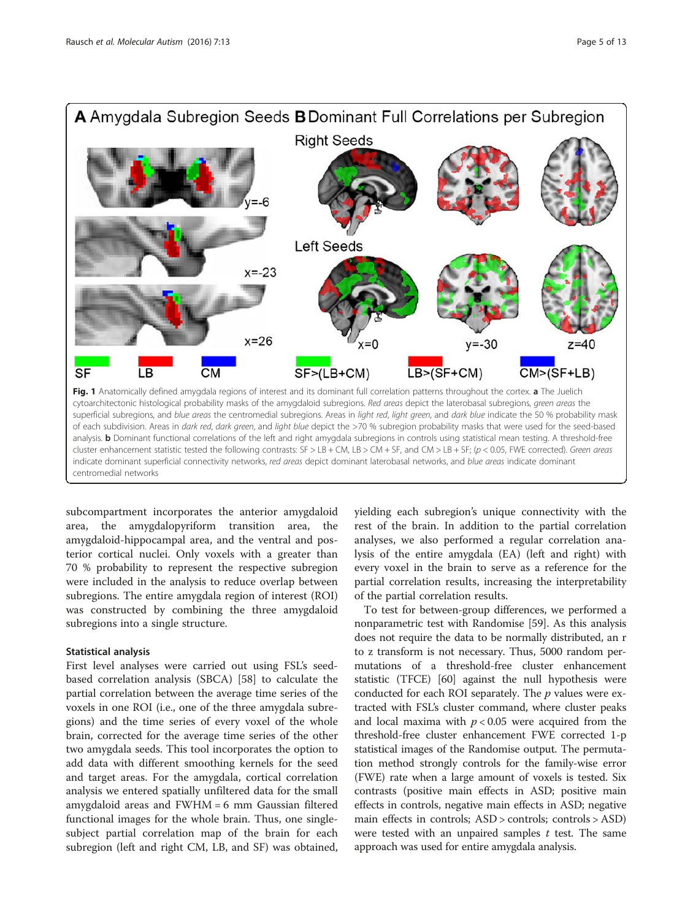<span id="page-4-0"></span>

cluster enhancement statistic tested the following contrasts: SF > LB + CM, LB > CM + SF, and CM > LB + SF; (p < 0.05, FWE corrected). Green areas indicate dominant superficial connectivity networks, red areas depict dominant laterobasal networks, and blue areas indicate dominant centromedial networks

subcompartment incorporates the anterior amygdaloid area, the amygdalopyriform transition area, the amygdaloid-hippocampal area, and the ventral and posterior cortical nuclei. Only voxels with a greater than 70 % probability to represent the respective subregion were included in the analysis to reduce overlap between subregions. The entire amygdala region of interest (ROI) was constructed by combining the three amygdaloid subregions into a single structure.

#### Statistical analysis

First level analyses were carried out using FSL's seedbased correlation analysis (SBCA) [[58](#page--1-0)] to calculate the partial correlation between the average time series of the voxels in one ROI (i.e., one of the three amygdala subregions) and the time series of every voxel of the whole brain, corrected for the average time series of the other two amygdala seeds. This tool incorporates the option to add data with different smoothing kernels for the seed and target areas. For the amygdala, cortical correlation analysis we entered spatially unfiltered data for the small amygdaloid areas and FWHM = 6 mm Gaussian filtered functional images for the whole brain. Thus, one singlesubject partial correlation map of the brain for each subregion (left and right CM, LB, and SF) was obtained, yielding each subregion's unique connectivity with the rest of the brain. In addition to the partial correlation analyses, we also performed a regular correlation analysis of the entire amygdala (EA) (left and right) with every voxel in the brain to serve as a reference for the partial correlation results, increasing the interpretability of the partial correlation results.

To test for between-group differences, we performed a nonparametric test with Randomise [\[59\]](#page--1-0). As this analysis does not require the data to be normally distributed, an r to z transform is not necessary. Thus, 5000 random permutations of a threshold-free cluster enhancement statistic (TFCE) [\[60](#page--1-0)] against the null hypothesis were conducted for each ROI separately. The  $p$  values were extracted with FSL's cluster command, where cluster peaks and local maxima with  $p < 0.05$  were acquired from the threshold-free cluster enhancement FWE corrected 1-p statistical images of the Randomise output. The permutation method strongly controls for the family-wise error (FWE) rate when a large amount of voxels is tested. Six contrasts (positive main effects in ASD; positive main effects in controls, negative main effects in ASD; negative main effects in controls; ASD > controls; controls > ASD) were tested with an unpaired samples  $t$  test. The same approach was used for entire amygdala analysis.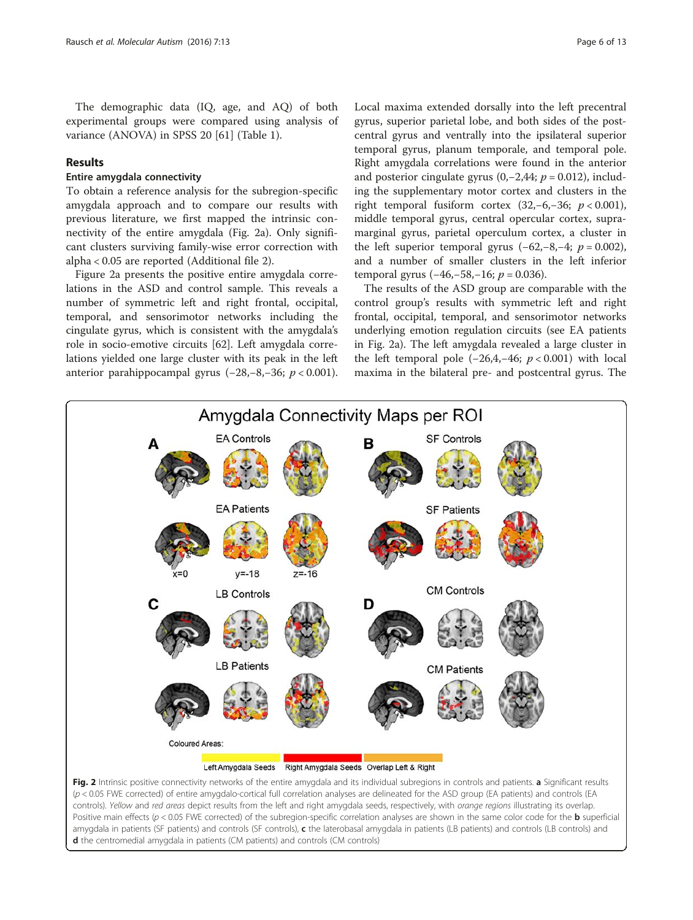<span id="page-5-0"></span>The demographic data (IQ, age, and AQ) of both experimental groups were compared using analysis of variance (ANOVA) in SPSS 20 [\[61\]](#page--1-0) (Table [1](#page-2-0)).

### Results

#### Entire amygdala connectivity

To obtain a reference analysis for the subregion-specific amygdala approach and to compare our results with previous literature, we first mapped the intrinsic connectivity of the entire amygdala (Fig. 2a). Only significant clusters surviving family-wise error correction with alpha < 0.05 are reported (Additional file [2](#page-10-0)).

Figure 2a presents the positive entire amygdala correlations in the ASD and control sample. This reveals a number of symmetric left and right frontal, occipital, temporal, and sensorimotor networks including the cingulate gyrus, which is consistent with the amygdala's role in socio-emotive circuits [\[62](#page--1-0)]. Left amygdala correlations yielded one large cluster with its peak in the left anterior parahippocampal gyrus (−28,−8,−36;  $p$  < 0.001). Local maxima extended dorsally into the left precentral gyrus, superior parietal lobe, and both sides of the postcentral gyrus and ventrally into the ipsilateral superior temporal gyrus, planum temporale, and temporal pole. Right amygdala correlations were found in the anterior and posterior cingulate gyrus  $(0, -2, 44; p = 0.012)$ , including the supplementary motor cortex and clusters in the right temporal fusiform cortex  $(32,-6,-36; p < 0.001)$ , middle temporal gyrus, central opercular cortex, supramarginal gyrus, parietal operculum cortex, a cluster in the left superior temporal gyrus  $(-62,-8,-4; p = 0.002)$ , and a number of smaller clusters in the left inferior temporal gyrus  $(-46,-58,-16; p = 0.036)$ .

The results of the ASD group are comparable with the control group's results with symmetric left and right frontal, occipital, temporal, and sensorimotor networks underlying emotion regulation circuits (see EA patients in Fig. 2a). The left amygdala revealed a large cluster in the left temporal pole  $(-26,4,-46; p < 0.001)$  with local maxima in the bilateral pre- and postcentral gyrus. The



controls). Yellow and red areas depict results from the left and right amygdala seeds, respectively, with orange regions illustrating its overlap. Positive main effects ( $p < 0.05$  FWE corrected) of the subregion-specific correlation analyses are shown in the same color code for the **b** superficial amygdala in patients (SF patients) and controls (SF controls), c the laterobasal amygdala in patients (LB patients) and controls (LB controls) and d the centromedial amygdala in patients (CM patients) and controls (CM controls)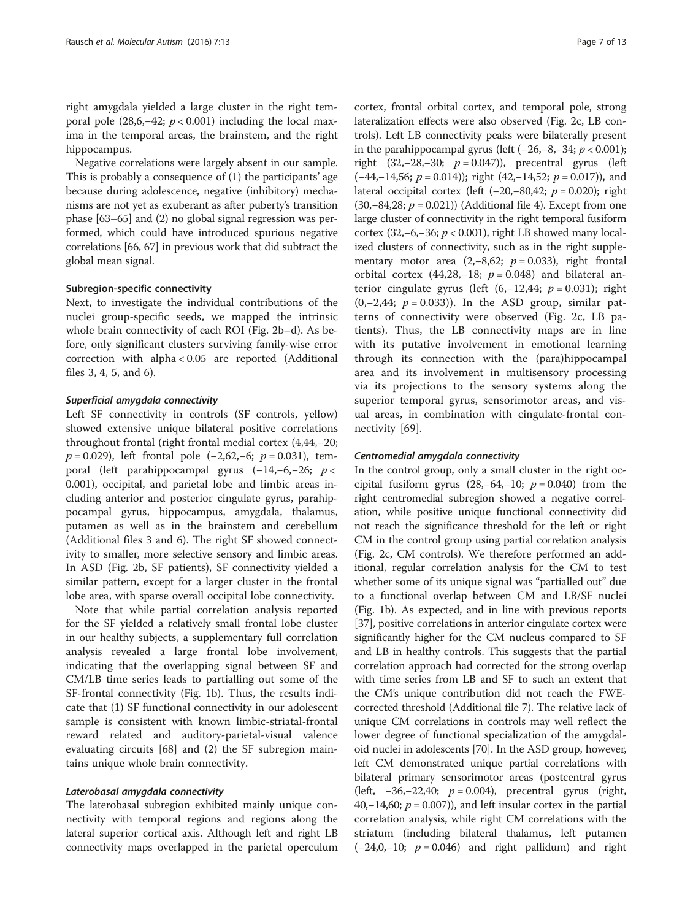right amygdala yielded a large cluster in the right temporal pole (28,6,–42;  $p < 0.001$ ) including the local maxima in the temporal areas, the brainstem, and the right hippocampus.

Negative correlations were largely absent in our sample. This is probably a consequence of (1) the participants' age because during adolescence, negative (inhibitory) mechanisms are not yet as exuberant as after puberty's transition phase [\[63](#page--1-0)–[65](#page--1-0)] and (2) no global signal regression was performed, which could have introduced spurious negative correlations [[66](#page--1-0), [67\]](#page--1-0) in previous work that did subtract the global mean signal.

#### Subregion-specific connectivity

Next, to investigate the individual contributions of the nuclei group-specific seeds, we mapped the intrinsic whole brain connectivity of each ROI (Fig. [2b](#page-5-0)–d). As before, only significant clusters surviving family-wise error correction with alpha < 0.05 are reported (Additional files [3, 4, 5,](#page-10-0) and [6\)](#page-10-0).

#### Superficial amygdala connectivity

Left SF connectivity in controls (SF controls, yellow) showed extensive unique bilateral positive correlations throughout frontal (right frontal medial cortex (4,44,−20;  $p = 0.029$ ), left frontal pole (-2,62,-6;  $p = 0.031$ ), temporal (left parahippocampal gyrus (−14,−6,−26; p < 0.001), occipital, and parietal lobe and limbic areas including anterior and posterior cingulate gyrus, parahippocampal gyrus, hippocampus, amygdala, thalamus, putamen as well as in the brainstem and cerebellum (Additional files [3](#page-10-0) and [6\)](#page-10-0). The right SF showed connectivity to smaller, more selective sensory and limbic areas. In ASD (Fig. [2b](#page-5-0), SF patients), SF connectivity yielded a similar pattern, except for a larger cluster in the frontal lobe area, with sparse overall occipital lobe connectivity.

Note that while partial correlation analysis reported for the SF yielded a relatively small frontal lobe cluster in our healthy subjects, a supplementary full correlation analysis revealed a large frontal lobe involvement, indicating that the overlapping signal between SF and CM/LB time series leads to partialling out some of the SF-frontal connectivity (Fig. [1b\)](#page-4-0). Thus, the results indicate that (1) SF functional connectivity in our adolescent sample is consistent with known limbic-striatal-frontal reward related and auditory-parietal-visual valence evaluating circuits [[68](#page--1-0)] and (2) the SF subregion maintains unique whole brain connectivity.

#### Laterobasal amygdala connectivity

The laterobasal subregion exhibited mainly unique connectivity with temporal regions and regions along the lateral superior cortical axis. Although left and right LB connectivity maps overlapped in the parietal operculum

cortex, frontal orbital cortex, and temporal pole, strong lateralization effects were also observed (Fig. [2c,](#page-5-0) LB controls). Left LB connectivity peaks were bilaterally present in the parahippocampal gyrus (left  $(-26,-8,-34; p < 0.001)$ ; right (32,−28,−30;  $p = 0.047$ )), precentral gyrus (left  $(-44,-14,56; p = 0.014)$ ; right  $(42,-14,52; p = 0.017)$ ), and lateral occipital cortex (left  $(-20,-80,42; p = 0.020)$ ; right (30,−84,28;  $p = 0.021$ )) (Additional file [4](#page-10-0)). Except from one large cluster of connectivity in the right temporal fusiform cortex (32,–6,–36;  $p < 0.001$ ), right LB showed many localized clusters of connectivity, such as in the right supplementary motor area (2,–8,62;  $p = 0.033$ ), right frontal orbital cortex (44,28,-18;  $p = 0.048$ ) and bilateral anterior cingulate gyrus (left  $(6, -12, 44; p = 0.031)$ ; right  $(0,-2,44; p = 0.033)$ ). In the ASD group, similar patterns of connectivity were observed (Fig. [2c,](#page-5-0) LB patients). Thus, the LB connectivity maps are in line with its putative involvement in emotional learning through its connection with the (para)hippocampal area and its involvement in multisensory processing via its projections to the sensory systems along the superior temporal gyrus, sensorimotor areas, and visual areas, in combination with cingulate-frontal connectivity [\[69](#page--1-0)].

#### Centromedial amygdala connectivity

In the control group, only a small cluster in the right occipital fusiform gyrus  $(28, -64, -10; p = 0.040)$  from the right centromedial subregion showed a negative correlation, while positive unique functional connectivity did not reach the significance threshold for the left or right CM in the control group using partial correlation analysis (Fig. [2c](#page-5-0), CM controls). We therefore performed an additional, regular correlation analysis for the CM to test whether some of its unique signal was "partialled out" due to a functional overlap between CM and LB/SF nuclei (Fig. [1b\)](#page-4-0). As expected, and in line with previous reports [[37](#page-11-0)], positive correlations in anterior cingulate cortex were significantly higher for the CM nucleus compared to SF and LB in healthy controls. This suggests that the partial correlation approach had corrected for the strong overlap with time series from LB and SF to such an extent that the CM's unique contribution did not reach the FWEcorrected threshold (Additional file [7\)](#page-10-0). The relative lack of unique CM correlations in controls may well reflect the lower degree of functional specialization of the amygdaloid nuclei in adolescents [\[70\]](#page--1-0). In the ASD group, however, left CM demonstrated unique partial correlations with bilateral primary sensorimotor areas (postcentral gyrus (left,  $-36, -22, 40$ ;  $p = 0.004$ ), precentral gyrus (right, 40,−14,60;  $p = 0.007$ ), and left insular cortex in the partial correlation analysis, while right CM correlations with the striatum (including bilateral thalamus, left putamen  $(-24,0,-10; p = 0.046)$  and right pallidum) and right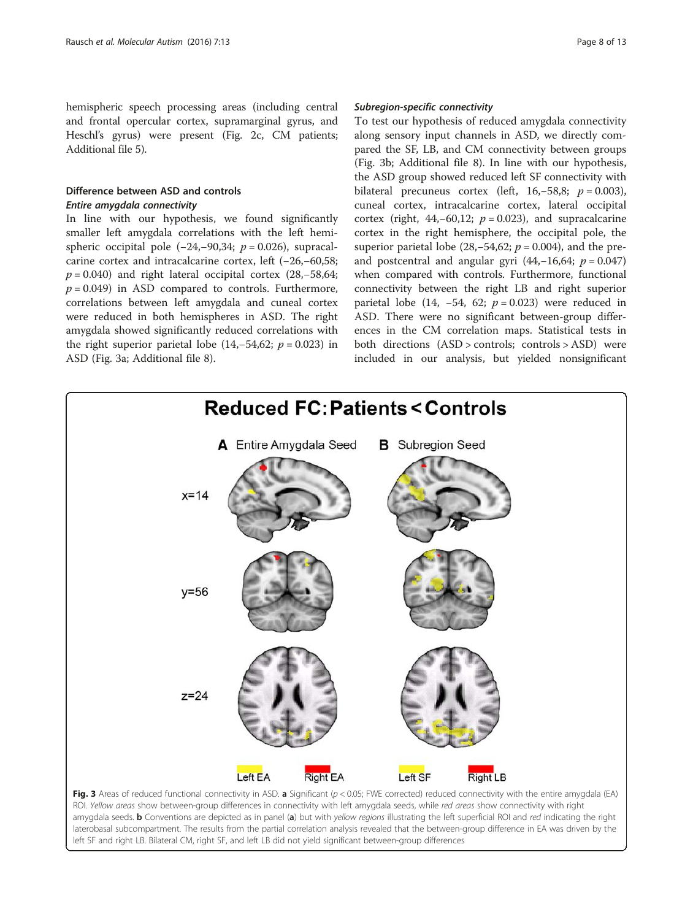<span id="page-7-0"></span>hemispheric speech processing areas (including central and frontal opercular cortex, supramarginal gyrus, and Heschl's gyrus) were present (Fig. [2c,](#page-5-0) CM patients; Additional file [5](#page-10-0)).

# Difference between ASD and controls Entire amygdala connectivity

In line with our hypothesis, we found significantly smaller left amygdala correlations with the left hemispheric occipital pole  $(-24,-90,34; p = 0.026)$ , supracalcarine cortex and intracalcarine cortex, left (−26,−60,58;  $p = 0.040$ ) and right lateral occipital cortex (28,–58,64;  $p = 0.049$ ) in ASD compared to controls. Furthermore, correlations between left amygdala and cuneal cortex were reduced in both hemispheres in ASD. The right amygdala showed significantly reduced correlations with the right superior parietal lobe (14,–54,62;  $p = 0.023$ ) in ASD (Fig. 3a; Additional file [8](#page-10-0)).

#### Subregion-specific connectivity

To test our hypothesis of reduced amygdala connectivity along sensory input channels in ASD, we directly compared the SF, LB, and CM connectivity between groups (Fig. 3b; Additional file [8\)](#page-10-0). In line with our hypothesis, the ASD group showed reduced left SF connectivity with bilateral precuneus cortex (left, 16,–58,8;  $p = 0.003$ ), cuneal cortex, intracalcarine cortex, lateral occipital cortex (right,  $44, -60, 12$ ;  $p = 0.023$ ), and supracalcarine cortex in the right hemisphere, the occipital pole, the superior parietal lobe (28,–54,62;  $p = 0.004$ ), and the preand postcentral and angular gyri (44,-16,64;  $p = 0.047$ ) when compared with controls. Furthermore, functional connectivity between the right LB and right superior parietal lobe (14,  $-54$ , 62;  $p = 0.023$ ) were reduced in ASD. There were no significant between-group differences in the CM correlation maps. Statistical tests in both directions (ASD > controls; controls > ASD) were included in our analysis, but yielded nonsignificant

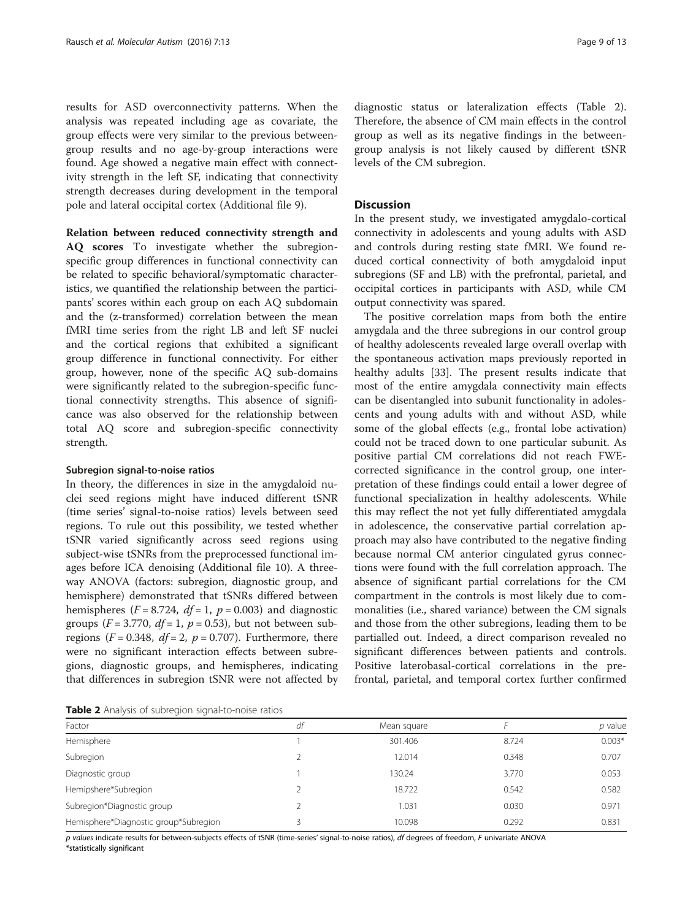results for ASD overconnectivity patterns. When the analysis was repeated including age as covariate, the group effects were very similar to the previous betweengroup results and no age-by-group interactions were found. Age showed a negative main effect with connectivity strength in the left SF, indicating that connectivity strength decreases during development in the temporal pole and lateral occipital cortex (Additional file [9](#page-10-0)).

Relation between reduced connectivity strength and AQ scores To investigate whether the subregionspecific group differences in functional connectivity can be related to specific behavioral/symptomatic characteristics, we quantified the relationship between the participants' scores within each group on each AQ subdomain and the (z-transformed) correlation between the mean fMRI time series from the right LB and left SF nuclei and the cortical regions that exhibited a significant group difference in functional connectivity. For either group, however, none of the specific AQ sub-domains were significantly related to the subregion-specific functional connectivity strengths. This absence of significance was also observed for the relationship between total AQ score and subregion-specific connectivity strength.

#### Subregion signal-to-noise ratios

In theory, the differences in size in the amygdaloid nuclei seed regions might have induced different tSNR (time series' signal-to-noise ratios) levels between seed regions. To rule out this possibility, we tested whether tSNR varied significantly across seed regions using subject-wise tSNRs from the preprocessed functional images before ICA denoising (Additional file [10](#page-10-0)). A threeway ANOVA (factors: subregion, diagnostic group, and hemisphere) demonstrated that tSNRs differed between hemispheres ( $F = 8.724$ ,  $df = 1$ ,  $p = 0.003$ ) and diagnostic groups ( $F = 3.770$ ,  $df = 1$ ,  $p = 0.53$ ), but not between subregions ( $F = 0.348$ ,  $df = 2$ ,  $p = 0.707$ ). Furthermore, there were no significant interaction effects between subregions, diagnostic groups, and hemispheres, indicating that differences in subregion tSNR were not affected by

diagnostic status or lateralization effects (Table 2). Therefore, the absence of CM main effects in the control group as well as its negative findings in the betweengroup analysis is not likely caused by different tSNR levels of the CM subregion.

#### **Discussion**

In the present study, we investigated amygdalo-cortical connectivity in adolescents and young adults with ASD and controls during resting state fMRI. We found reduced cortical connectivity of both amygdaloid input subregions (SF and LB) with the prefrontal, parietal, and occipital cortices in participants with ASD, while CM output connectivity was spared.

The positive correlation maps from both the entire amygdala and the three subregions in our control group of healthy adolescents revealed large overall overlap with the spontaneous activation maps previously reported in healthy adults [\[33](#page-11-0)]. The present results indicate that most of the entire amygdala connectivity main effects can be disentangled into subunit functionality in adolescents and young adults with and without ASD, while some of the global effects (e.g., frontal lobe activation) could not be traced down to one particular subunit. As positive partial CM correlations did not reach FWEcorrected significance in the control group, one interpretation of these findings could entail a lower degree of functional specialization in healthy adolescents. While this may reflect the not yet fully differentiated amygdala in adolescence, the conservative partial correlation approach may also have contributed to the negative finding because normal CM anterior cingulated gyrus connections were found with the full correlation approach. The absence of significant partial correlations for the CM compartment in the controls is most likely due to commonalities (i.e., shared variance) between the CM signals and those from the other subregions, leading them to be partialled out. Indeed, a direct comparison revealed no significant differences between patients and controls. Positive laterobasal-cortical correlations in the prefrontal, parietal, and temporal cortex further confirmed

Table 2 Analysis of subregion signal-to-noise ratios

| Factor                                | df | Mean square |       | p value  |  |  |  |  |
|---------------------------------------|----|-------------|-------|----------|--|--|--|--|
| Hemisphere                            |    | 301.406     | 8.724 | $0.003*$ |  |  |  |  |
| Subregion                             |    | 12.014      | 0.348 | 0.707    |  |  |  |  |
| Diagnostic group                      |    | 130.24      | 3.770 | 0.053    |  |  |  |  |
| Hemipshere*Subregion                  |    | 18.722      | 0.542 | 0.582    |  |  |  |  |
| Subregion*Diagnostic group            |    | 1.031       | 0.030 | 0.971    |  |  |  |  |
| Hemisphere*Diagnostic group*Subregion |    | 10.098      | 0.292 | 0.831    |  |  |  |  |

p values indicate results for between-subjects effects of tSNR (time-series' signal-to-noise ratios), df degrees of freedom, F univariate ANOVA \*statistically significant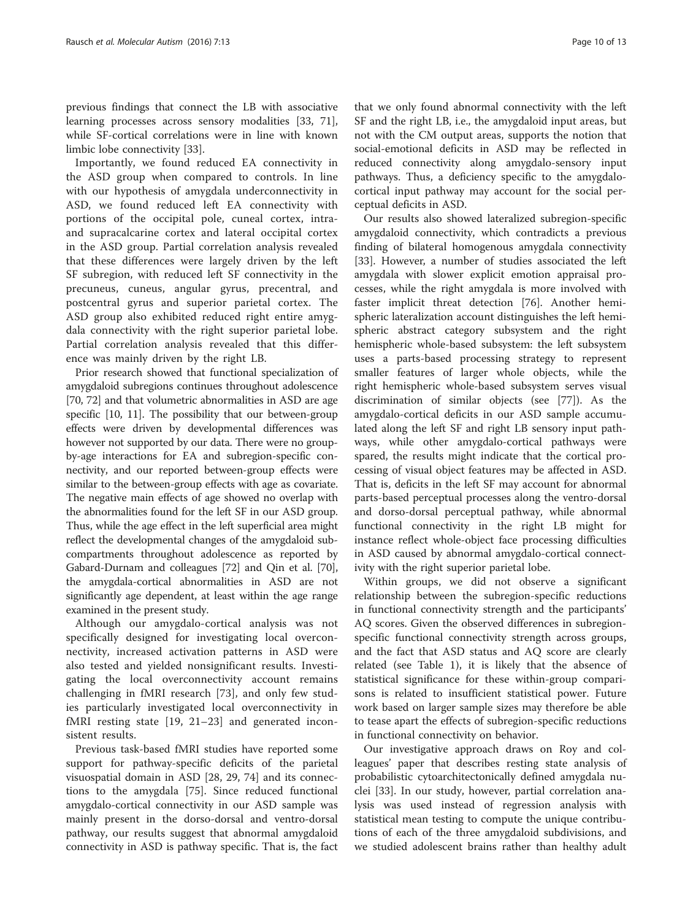previous findings that connect the LB with associative learning processes across sensory modalities [[33,](#page-11-0) [71](#page--1-0)], while SF-cortical correlations were in line with known limbic lobe connectivity [[33\]](#page-11-0).

Importantly, we found reduced EA connectivity in the ASD group when compared to controls. In line with our hypothesis of amygdala underconnectivity in ASD, we found reduced left EA connectivity with portions of the occipital pole, cuneal cortex, intraand supracalcarine cortex and lateral occipital cortex in the ASD group. Partial correlation analysis revealed that these differences were largely driven by the left SF subregion, with reduced left SF connectivity in the precuneus, cuneus, angular gyrus, precentral, and postcentral gyrus and superior parietal cortex. The ASD group also exhibited reduced right entire amygdala connectivity with the right superior parietal lobe. Partial correlation analysis revealed that this difference was mainly driven by the right LB.

Prior research showed that functional specialization of amygdaloid subregions continues throughout adolescence [[70](#page--1-0), [72](#page--1-0)] and that volumetric abnormalities in ASD are age specific [\[10](#page-11-0), [11\]](#page-11-0). The possibility that our between-group effects were driven by developmental differences was however not supported by our data. There were no groupby-age interactions for EA and subregion-specific connectivity, and our reported between-group effects were similar to the between-group effects with age as covariate. The negative main effects of age showed no overlap with the abnormalities found for the left SF in our ASD group. Thus, while the age effect in the left superficial area might reflect the developmental changes of the amygdaloid subcompartments throughout adolescence as reported by Gabard-Durnam and colleagues [[72](#page--1-0)] and Qin et al. [[70](#page--1-0)], the amygdala-cortical abnormalities in ASD are not significantly age dependent, at least within the age range examined in the present study.

Although our amygdalo-cortical analysis was not specifically designed for investigating local overconnectivity, increased activation patterns in ASD were also tested and yielded nonsignificant results. Investigating the local overconnectivity account remains challenging in fMRI research [[73\]](#page--1-0), and only few studies particularly investigated local overconnectivity in fMRI resting state [\[19](#page-11-0), [21](#page-11-0)–[23\]](#page-11-0) and generated inconsistent results.

Previous task-based fMRI studies have reported some support for pathway-specific deficits of the parietal visuospatial domain in ASD [\[28, 29](#page-11-0), [74\]](#page--1-0) and its connections to the amygdala [\[75](#page--1-0)]. Since reduced functional amygdalo-cortical connectivity in our ASD sample was mainly present in the dorso-dorsal and ventro-dorsal pathway, our results suggest that abnormal amygdaloid connectivity in ASD is pathway specific. That is, the fact

that we only found abnormal connectivity with the left SF and the right LB, i.e., the amygdaloid input areas, but not with the CM output areas, supports the notion that social-emotional deficits in ASD may be reflected in reduced connectivity along amygdalo-sensory input pathways. Thus, a deficiency specific to the amygdalocortical input pathway may account for the social perceptual deficits in ASD.

Our results also showed lateralized subregion-specific amygdaloid connectivity, which contradicts a previous finding of bilateral homogenous amygdala connectivity [[33\]](#page-11-0). However, a number of studies associated the left amygdala with slower explicit emotion appraisal processes, while the right amygdala is more involved with faster implicit threat detection [\[76](#page--1-0)]. Another hemispheric lateralization account distinguishes the left hemispheric abstract category subsystem and the right hemispheric whole-based subsystem: the left subsystem uses a parts-based processing strategy to represent smaller features of larger whole objects, while the right hemispheric whole-based subsystem serves visual discrimination of similar objects (see [\[77](#page--1-0)]). As the amygdalo-cortical deficits in our ASD sample accumulated along the left SF and right LB sensory input pathways, while other amygdalo-cortical pathways were spared, the results might indicate that the cortical processing of visual object features may be affected in ASD. That is, deficits in the left SF may account for abnormal parts-based perceptual processes along the ventro-dorsal and dorso-dorsal perceptual pathway, while abnormal functional connectivity in the right LB might for instance reflect whole-object face processing difficulties in ASD caused by abnormal amygdalo-cortical connectivity with the right superior parietal lobe.

Within groups, we did not observe a significant relationship between the subregion-specific reductions in functional connectivity strength and the participants' AQ scores. Given the observed differences in subregionspecific functional connectivity strength across groups, and the fact that ASD status and AQ score are clearly related (see Table [1\)](#page-2-0), it is likely that the absence of statistical significance for these within-group comparisons is related to insufficient statistical power. Future work based on larger sample sizes may therefore be able to tease apart the effects of subregion-specific reductions in functional connectivity on behavior.

Our investigative approach draws on Roy and colleagues' paper that describes resting state analysis of probabilistic cytoarchitectonically defined amygdala nuclei [[33](#page-11-0)]. In our study, however, partial correlation analysis was used instead of regression analysis with statistical mean testing to compute the unique contributions of each of the three amygdaloid subdivisions, and we studied adolescent brains rather than healthy adult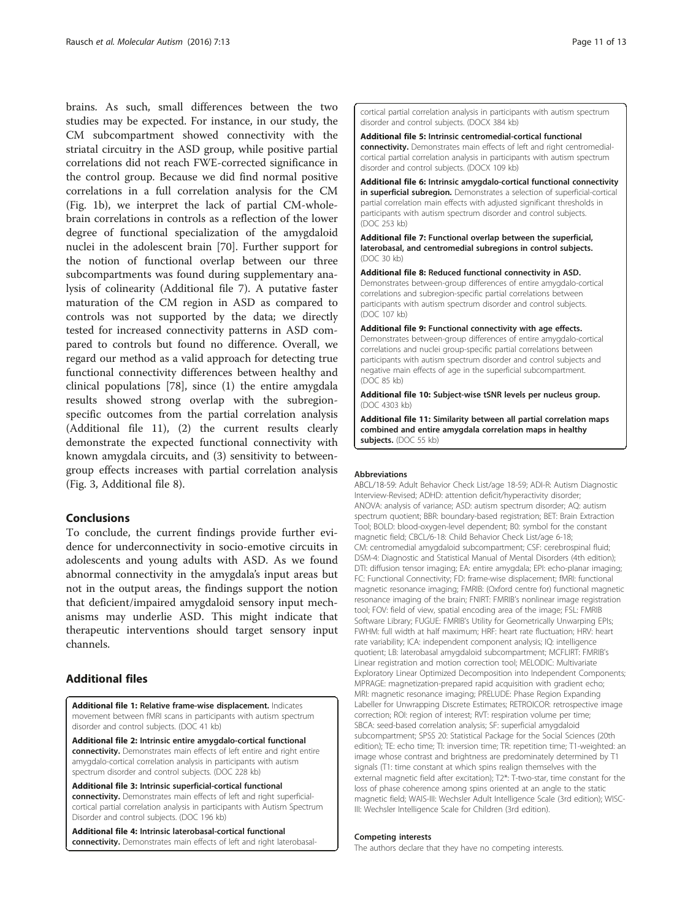<span id="page-10-0"></span>brains. As such, small differences between the two studies may be expected. For instance, in our study, the CM subcompartment showed connectivity with the striatal circuitry in the ASD group, while positive partial correlations did not reach FWE-corrected significance in the control group. Because we did find normal positive correlations in a full correlation analysis for the CM (Fig. [1b\)](#page-4-0), we interpret the lack of partial CM-wholebrain correlations in controls as a reflection of the lower degree of functional specialization of the amygdaloid nuclei in the adolescent brain [\[70](#page--1-0)]. Further support for the notion of functional overlap between our three subcompartments was found during supplementary analysis of colinearity (Additional file 7). A putative faster maturation of the CM region in ASD as compared to controls was not supported by the data; we directly tested for increased connectivity patterns in ASD compared to controls but found no difference. Overall, we regard our method as a valid approach for detecting true functional connectivity differences between healthy and clinical populations [[78\]](#page--1-0), since (1) the entire amygdala results showed strong overlap with the subregionspecific outcomes from the partial correlation analysis (Additional file 11), (2) the current results clearly demonstrate the expected functional connectivity with known amygdala circuits, and (3) sensitivity to betweengroup effects increases with partial correlation analysis (Fig. [3](#page-7-0), Additional file 8).

#### Conclusions

To conclude, the current findings provide further evidence for underconnectivity in socio-emotive circuits in adolescents and young adults with ASD. As we found abnormal connectivity in the amygdala's input areas but not in the output areas, the findings support the notion that deficient/impaired amygdaloid sensory input mechanisms may underlie ASD. This might indicate that therapeutic interventions should target sensory input channels.

# Additional files

[Additional file 1:](dx.doi.org/10.1186/s13229-015-0060-x) Relative frame-wise displacement. Indicates movement between fMRI scans in participants with autism spectrum disorder and control subjects. (DOC 41 kb)

[Additional file 2:](dx.doi.org/10.1186/s13229-015-0060-x) Intrinsic entire amygdalo-cortical functional connectivity. Demonstrates main effects of left entire and right entire amygdalo-cortical correlation analysis in participants with autism spectrum disorder and control subjects. (DOC 228 kb)

[Additional file 3:](dx.doi.org/10.1186/s13229-015-0060-x) Intrinsic superficial-cortical functional connectivity. Demonstrates main effects of left and right superficialcortical partial correlation analysis in participants with Autism Spectrum Disorder and control subjects. (DOC 196 kb)

[Additional file 4:](dx.doi.org/10.1186/s13229-015-0060-x) Intrinsic laterobasal-cortical functional connectivity. Demonstrates main effects of left and right laterobasalcortical partial correlation analysis in participants with autism spectrum disorder and control subjects. (DOCX 384 kb)

[Additional file 5:](dx.doi.org/10.1186/s13229-015-0060-x) Intrinsic centromedial-cortical functional connectivity. Demonstrates main effects of left and right centromedialcortical partial correlation analysis in participants with autism spectrum disorder and control subjects. (DOCX 109 kb)

[Additional file 6:](dx.doi.org/10.1186/s13229-015-0060-x) Intrinsic amygdalo-cortical functional connectivity in superficial subregion. Demonstrates a selection of superficial-cortical partial correlation main effects with adjusted significant thresholds in participants with autism spectrum disorder and control subjects. (DOC 253 kb)

[Additional file 7:](dx.doi.org/10.1186/s13229-015-0060-x) Functional overlap between the superficial, laterobasal, and centromedial subregions in control subjects. (DOC 30 kb)

[Additional file 8:](dx.doi.org/10.1186/s13229-015-0060-x) Reduced functional connectivity in ASD. Demonstrates between-group differences of entire amygdalo-cortical correlations and subregion-specific partial correlations between participants with autism spectrum disorder and control subjects. (DOC 107 kb)

[Additional file 9:](dx.doi.org/10.1186/s13229-015-0060-x) Functional connectivity with age effects. Demonstrates between-group differences of entire amygdalo-cortical correlations and nuclei group-specific partial correlations between participants with autism spectrum disorder and control subjects and negative main effects of age in the superficial subcompartment. (DOC 85 kb)

[Additional file 10:](dx.doi.org/10.1186/s13229-015-0060-x) Subject-wise tSNR levels per nucleus group. (DOC 4303 kb)

[Additional file 11:](dx.doi.org/10.1186/s13229-015-0060-x) Similarity between all partial correlation maps combined and entire amygdala correlation maps in healthy subjects. (DOC 55 kb)

#### **Abbreviations**

ABCL/18-59: Adult Behavior Check List/age 18-59; ADI-R: Autism Diagnostic Interview-Revised; ADHD: attention deficit/hyperactivity disorder; ANOVA: analysis of variance; ASD: autism spectrum disorder; AQ: autism spectrum quotient; BBR: boundary-based registration; BET: Brain Extraction Tool; BOLD: blood-oxygen-level dependent; B0: symbol for the constant magnetic field; CBCL/6-18: Child Behavior Check List/age 6-18; CM: centromedial amygdaloid subcompartment; CSF: cerebrospinal fluid; DSM-4: Diagnostic and Statistical Manual of Mental Disorders (4th edition); DTI: diffusion tensor imaging; EA: entire amygdala; EPI: echo-planar imaging; FC: Functional Connectivity; FD: frame-wise displacement; fMRI: functional magnetic resonance imaging; FMRIB: (Oxford centre for) functional magnetic resonance imaging of the brain; FNIRT: FMRIB's nonlinear image registration tool; FOV: field of view, spatial encoding area of the image; FSL: FMRIB Software Library; FUGUE: FMRIB's Utility for Geometrically Unwarping EPIs; FWHM: full width at half maximum; HRF: heart rate fluctuation; HRV: heart rate variability; ICA: independent component analysis; IQ: intelligence quotient; LB: laterobasal amygdaloid subcompartment; MCFLIRT: FMRIB's Linear registration and motion correction tool; MELODIC: Multivariate Exploratory Linear Optimized Decomposition into Independent Components; MPRAGE: magnetization-prepared rapid acquisition with gradient echo; MRI: magnetic resonance imaging; PRELUDE: Phase Region Expanding Labeller for Unwrapping Discrete Estimates; RETROICOR: retrospective image correction; ROI: region of interest; RVT: respiration volume per time; SBCA: seed-based correlation analysis; SF: superficial amygdaloid subcompartment; SPSS 20: Statistical Package for the Social Sciences (20th edition); TE: echo time; TI: inversion time; TR: repetition time; T1-weighted: an image whose contrast and brightness are predominately determined by T1 signals (T1: time constant at which spins realign themselves with the external magnetic field after excitation); T2\*: T-two-star, time constant for the loss of phase coherence among spins oriented at an angle to the static magnetic field; WAIS-III: Wechsler Adult Intelligence Scale (3rd edition); WISC-III: Wechsler Intelligence Scale for Children (3rd edition).

#### Competing interests

The authors declare that they have no competing interests.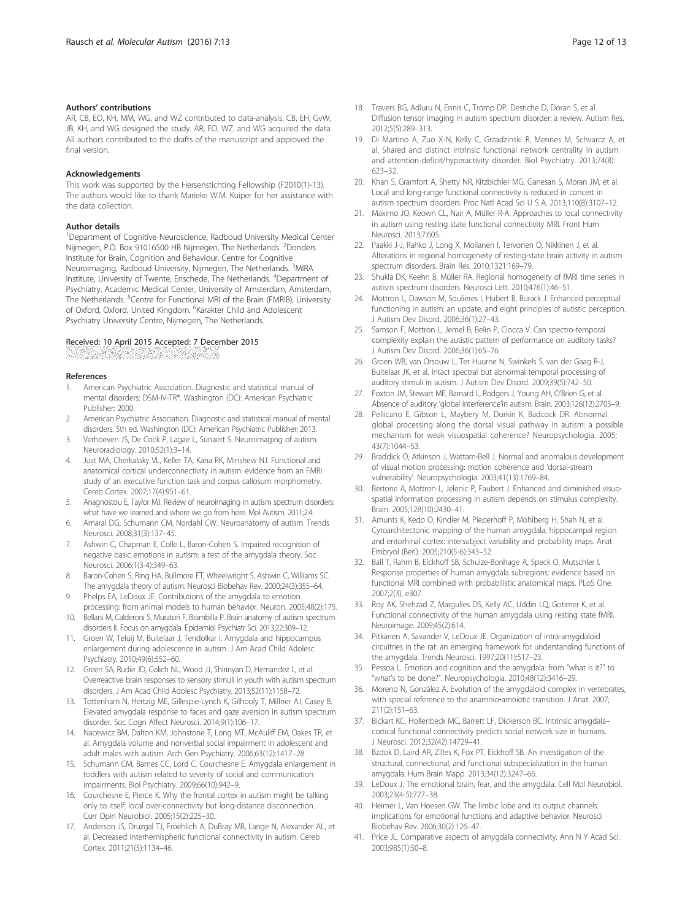#### <span id="page-11-0"></span>Authors' contributions

AR, CB, EO, KH, MM, WG, and WZ contributed to data-analysis. CB, EH, GvW, JB, KH, and WG designed the study. AR, EO, WZ, and WG acquired the data. All authors contributed to the drafts of the manuscript and approved the final version.

#### Acknowledgements

This work was supported by the Hersenstichting Fellowship (F2010(1)-13). The authors would like to thank Marieke W.M. Kuiper for her assistance with the data collection.

#### Author details

<sup>1</sup>Department of Cognitive Neuroscience, Radboud University Medical Center Nijmegen, P.O. Box 91016500 HB Nijmegen, The Netherlands. <sup>2</sup>Donders Institute for Brain, Cognition and Behaviour, Centre for Cognitive Neuroimaging, Radboud University, Nijmegen, The Netherlands. <sup>3</sup>MIRA Institute, University of Twente, Enschede, The Netherlands. <sup>4</sup>Department of Psychiatry, Academic Medical Center, University of Amsterdam, Amsterdam, The Netherlands. <sup>5</sup>Centre for Functional MRI of the Brain (FMRIB), University of Oxford, Oxford, United Kingdom. <sup>6</sup>Karakter Child and Adolescent Psychiatry University Centre, Nijmegen, The Netherlands.

#### Received: 10 April 2015 Accepted: 7 December 2015

#### References

- 1. American Psychiatric Association. Diagnostic and statistical manual of mental disorders: DSM-IV-TR®. Washington (DC): American Psychiatric Publisher; 2000.
- 2. American Psychiatric Association. Diagnostic and statistical manual of mental disorders. 5th ed. Washington (DC): American Psychiatric Publisher; 2013.
- 3. Verhoeven JS, De Cock P, Lagae L, Sunaert S. Neuroimaging of autism. Neuroradiology. 2010;52(1):3–14.
- 4. Just MA, Cherkassky VL, Keller TA, Kana RK, Minshew NJ. Functional and anatomical cortical underconnectivity in autism: evidence from an FMRI study of an executive function task and corpus callosum morphometry. Cereb Cortex. 2007;17(4):951–61.
- 5. Anagnostou E, Taylor MJ. Review of neuroimaging in autism spectrum disorders: what have we learned and where we go from here. Mol Autism. 2011;2:4.
- 6. Amaral DG, Schumann CM, Nordahl CW. Neuroanatomy of autism. Trends Neurosci. 2008;31(3):137–45.
- 7. Ashwin C, Chapman E, Colle L, Baron-Cohen S. Impaired recognition of negative basic emotions in autism: a test of the amygdala theory. Soc Neurosci. 2006;1(3-4):349–63.
- 8. Baron-Cohen S, Ring HA, Bullmore ET, Wheelwright S, Ashwin C, Williams SC. The amygdala theory of autism. Neurosci Biobehav Rev. 2000;24(3):355–64.
- 9. Phelps EA, LeDoux JE. Contributions of the amygdala to emotion processing: from animal models to human behavior. Neuron. 2005;48(2):175.
- 10. Bellani M, Calderoni S, Muratori F, Brambilla P. Brain anatomy of autism spectrum disorders II. Focus on amygdala. Epidemiol Psychiatr Sci. 2013;22:309–12.
- 11. Groen W, Teluij M, Buitelaar J, Tendolkar I. Amygdala and hippocampus enlargement during adolescence in autism. J Am Acad Child Adolesc Psychiatry. 2010;49(6):552–60.
- 12. Green SA, Rudie JD, Colich NL, Wood JJ, Shirinyan D, Hernandez L, et al. Overreactive brain responses to sensory stimuli in youth with autism spectrum disorders. J Am Acad Child Adolesc Psychiatry. 2013;52(11):1158–72.
- 13. Tottenham N, Hertzig ME, Gillespie-Lynch K, Gilhooly T, Millner AJ, Casey B. Elevated amygdala response to faces and gaze aversion in autism spectrum disorder. Soc Cogn Affect Neurosci. 2014;9(1):106–17.
- 14. Nacewicz BM, Dalton KM, Johnstone T, Long MT, McAuliff EM, Oakes TR, et al. Amygdala volume and nonverbal social impairment in adolescent and adult males with autism. Arch Gen Psychiatry. 2006;63(12):1417–28.
- 15. Schumann CM, Barnes CC, Lord C, Courchesne E. Amygdala enlargement in toddlers with autism related to severity of social and communication impairments. Biol Psychiatry. 2009;66(10):942–9.
- 16. Courchesne E, Pierce K. Why the frontal cortex in autism might be talking only to itself: local over-connectivity but long-distance disconnection. Curr Opin Neurobiol. 2005;15(2):225–30.
- 17. Anderson JS, Druzgal TJ, Froehlich A, DuBray MB, Lange N, Alexander AL, et al. Decreased interhemispheric functional connectivity in autism. Cereb Cortex. 2011;21(5):1134–46.
- 18. Travers BG, Adluru N, Ennis C, Tromp DP, Destiche D, Doran S, et al. Diffusion tensor imaging in autism spectrum disorder: a review. Autism Res. 2012;5(5):289–313.
- 19. Di Martino A, Zuo X-N, Kelly C, Grzadzinski R, Mennes M, Schvarcz A, et al. Shared and distinct intrinsic functional network centrality in autism and attention-deficit/hyperactivity disorder. Biol Psychiatry. 2013;74(8): 623–32.
- 20. Khan S, Gramfort A, Shetty NR, Kitzbichler MG, Ganesan S, Moran JM, et al. Local and long-range functional connectivity is reduced in concert in autism spectrum disorders. Proc Natl Acad Sci U S A. 2013;110(8):3107–12.
- 21. Maximo JO, Keown CL, Nair A, Müller R-A. Approaches to local connectivity in autism using resting state functional connectivity MRI. Front Hum Neurosci. 2013;7:605.
- 22. Paakki J-J, Rahko J, Long X, Moilanen I, Tervonen O, Nikkinen J, et al. Alterations in regional homogeneity of resting-state brain activity in autism spectrum disorders. Brain Res. 2010;1321:169–79.
- 23. Shukla DK, Keehn B, Müller RA. Regional homogeneity of fMRI time series in autism spectrum disorders. Neurosci Lett. 2010;476(1):46–51.
- 24. Mottron L, Dawson M, Soulieres I, Hubert B, Burack J. Enhanced perceptual functioning in autism: an update, and eight principles of autistic perception. J Autism Dev Disord. 2006;36(1):27–43.
- 25. Samson F, Mottron L, Jemel B, Belin P, Ciocca V. Can spectro-temporal complexity explain the autistic pattern of performance on auditory tasks? J Autism Dev Disord. 2006;36(1):65–76.
- 26. Groen WB, van Orsouw L, Ter Huurne N, Swinkels S, van der Gaag R-J, Buitelaar JK, et al. Intact spectral but abnormal temporal processing of auditory stimuli in autism. J Autism Dev Disord. 2009;39(5):742–50.
- 27. Foxton JM, Stewart ME, Barnard L, Rodgers J, Young AH, O'Brien G, et al. Absence of auditory 'global interference'in autism. Brain. 2003;126(12):2703–9.
- 28. Pellicano E, Gibson L, Maybery M, Durkin K, Badcock DR. Abnormal global processing along the dorsal visual pathway in autism: a possible mechanism for weak visuospatial coherence? Neuropsychologia. 2005; 43(7):1044–53.
- 29. Braddick O, Atkinson J, Wattam-Bell J. Normal and anomalous development of visual motion processing: motion coherence and 'dorsal-stream vulnerability'. Neuropsychologia. 2003;41(13):1769–84.
- 30. Bertone A, Mottron L, Jelenic P, Faubert J. Enhanced and diminished visuospatial information processing in autism depends on stimulus complexity. Brain. 2005;128(10):2430–41.
- 31. Amunts K, Kedo O, Kindler M, Pieperhoff P, Mohlberg H, Shah N, et al. Cytoarchitectonic mapping of the human amygdala, hippocampal region and entorhinal cortex: intersubject variability and probability maps. Anat Embryol (Berl). 2005;210(5-6):343–52.
- 32. Ball T, Rahm B, Eickhoff SB, Schulze-Bonhage A, Speck O, Mutschler I. Response properties of human amygdala subregions: evidence based on functional MRI combined with probabilistic anatomical maps. PLoS One. 2007;2(3), e307.
- 33. Roy AK, Shehzad Z, Margulies DS, Kelly AC, Uddin LQ, Gotimer K, et al. Functional connectivity of the human amygdala using resting state fMRI. Neuroimage. 2009;45(2):614.
- 34. Pitkänen A, Savander V, LeDoux JE. Organization of intra-amygdaloid circuitries in the rat: an emerging framework for understanding functions of the amygdala. Trends Neurosci. 1997;20(11):517–23.
- 35. Pessoa L. Emotion and cognition and the amygdala: from "what is it?" to "what's to be done?". Neuropsychologia. 2010;48(12):3416–29.
- 36. Moreno N, González A. Evolution of the amygdaloid complex in vertebrates, with special reference to the anamnio-amniotic transition. J Anat. 2007; 211(2):151–63.
- 37. Bickart KC, Hollenbeck MC, Barrett LF, Dickerson BC. Intrinsic amygdala– cortical functional connectivity predicts social network size in humans. J Neurosci. 2012;32(42):14729–41.
- 38. Bzdok D, Laird AR, Zilles K, Fox PT, Eickhoff SB. An investigation of the structural, connectional, and functional subspecialization in the human amygdala. Hum Brain Mapp. 2013;34(12):3247–66.
- 39. LeDoux J. The emotional brain, fear, and the amygdala. Cell Mol Neurobiol. 2003;23(4-5):727–38.
- 40. Heimer L, Van Hoesen GW. The limbic lobe and its output channels: implications for emotional functions and adaptive behavior. Neurosci Biobehav Rev. 2006;30(2):126–47.
- 41. Price JL. Comparative aspects of amygdala connectivity. Ann N Y Acad Sci. 2003;985(1):50–8.